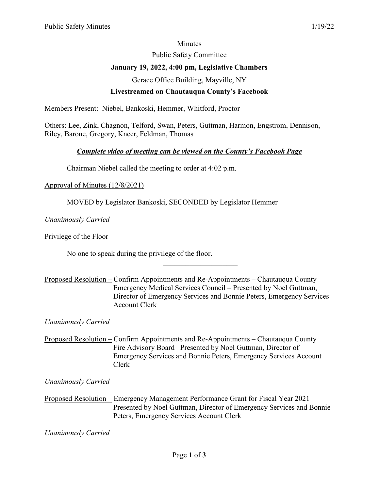### **Minutes**

Public Safety Committee

# **January 19, 2022, 4:00 pm, Legislative Chambers**

Gerace Office Building, Mayville, NY

# **Livestreamed on Chautauqua County's Facebook**

Members Present: Niebel, Bankoski, Hemmer, Whitford, Proctor

Others: Lee, Zink, Chagnon, Telford, Swan, Peters, Guttman, Harmon, Engstrom, Dennison, Riley, Barone, Gregory, Kneer, Feldman, Thomas

# *Complete video of meeting can be viewed on the County's Facebook Page*

Chairman Niebel called the meeting to order at 4:02 p.m.

### Approval of Minutes (12/8/2021)

MOVED by Legislator Bankoski, SECONDED by Legislator Hemmer

*Unanimously Carried*

Privilege of the Floor

No one to speak during the privilege of the floor.

Proposed Resolution – Confirm Appointments and Re-Appointments – Chautauqua County Emergency Medical Services Council – Presented by Noel Guttman, Director of Emergency Services and Bonnie Peters, Emergency Services Account Clerk

 $\overline{\phantom{a}}$  . The set of the set of the set of the set of the set of the set of the set of the set of the set of the set of the set of the set of the set of the set of the set of the set of the set of the set of the set o

*Unanimously Carried* 

Proposed Resolution – Confirm Appointments and Re-Appointments – Chautauqua County Fire Advisory Board– Presented by Noel Guttman, Director of Emergency Services and Bonnie Peters, Emergency Services Account Clerk

*Unanimously Carried* 

Proposed Resolution – Emergency Management Performance Grant for Fiscal Year 2021 Presented by Noel Guttman, Director of Emergency Services and Bonnie Peters, Emergency Services Account Clerk

*Unanimously Carried*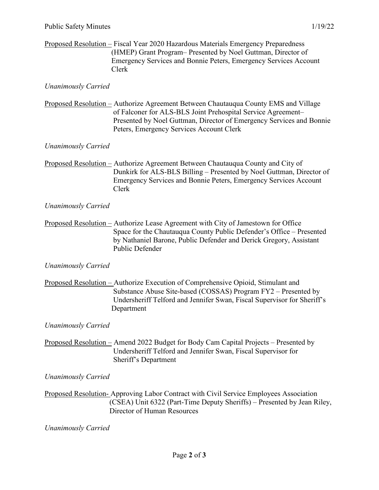### Proposed Resolution – Fiscal Year 2020 Hazardous Materials Emergency Preparedness (HMEP) Grant Program– Presented by Noel Guttman, Director of Emergency Services and Bonnie Peters, Emergency Services Account Clerk

### *Unanimously Carried*

Proposed Resolution – Authorize Agreement Between Chautauqua County EMS and Village of Falconer for ALS-BLS Joint Prehospital Service Agreement– Presented by Noel Guttman, Director of Emergency Services and Bonnie Peters, Emergency Services Account Clerk

#### *Unanimously Carried*

Proposed Resolution – Authorize Agreement Between Chautauqua County and City of Dunkirk for ALS-BLS Billing – Presented by Noel Guttman, Director of Emergency Services and Bonnie Peters, Emergency Services Account Clerk

#### *Unanimously Carried*

Proposed Resolution – Authorize Lease Agreement with City of Jamestown for Office Space for the Chautauqua County Public Defender's Office – Presented by Nathaniel Barone, Public Defender and Derick Gregory, Assistant Public Defender

### *Unanimously Carried*

Proposed Resolution – Authorize Execution of Comprehensive Opioid, Stimulant and Substance Abuse Site-based (COSSAS) Program FY2 – Presented by Undersheriff Telford and Jennifer Swan, Fiscal Supervisor for Sheriff's Department

#### *Unanimously Carried*

Proposed Resolution – Amend 2022 Budget for Body Cam Capital Projects – Presented by Undersheriff Telford and Jennifer Swan, Fiscal Supervisor for Sheriff's Department

*Unanimously Carried* 

Proposed Resolution- Approving Labor Contract with Civil Service Employees Association (CSEA) Unit 6322 (Part-Time Deputy Sheriffs) – Presented by Jean Riley, Director of Human Resources

*Unanimously Carried*